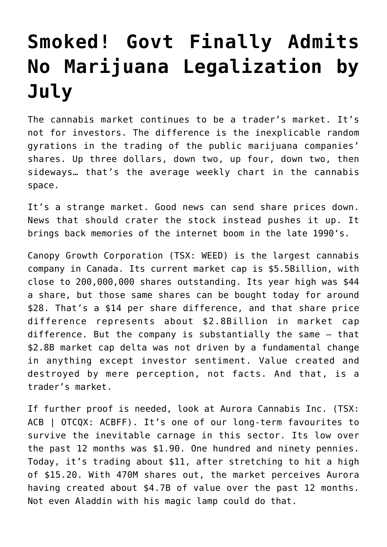## **[Smoked! Govt Finally Admits](https://investorintel.com/markets/agribusiness-mmj/agbusiness-mmj-intel/smoked-govt-finally-admits-no-marijuana-legalization-july-1-18/) [No Marijuana Legalization by](https://investorintel.com/markets/agribusiness-mmj/agbusiness-mmj-intel/smoked-govt-finally-admits-no-marijuana-legalization-july-1-18/) [July](https://investorintel.com/markets/agribusiness-mmj/agbusiness-mmj-intel/smoked-govt-finally-admits-no-marijuana-legalization-july-1-18/)**

The cannabis market continues to be a trader's market. It's not for investors. The difference is the inexplicable random gyrations in the trading of the public marijuana companies' shares. Up three dollars, down two, up four, down two, then sideways… that's the average weekly chart in the cannabis space.

It's a strange market. Good news can send share prices down. News that should crater the stock instead pushes it up. It brings back memories of the [internet boom in the late 1990'](https://investorintel.com/sectors/agribusiness-mmj/agbusiness-mmj-intel/dot-com-pot-com-weve-seen-this-movie-before/)s.

Canopy Growth Corporation (TSX: WEED) is the largest cannabis company in Canada. Its current market cap is \$5.5Billion, with close to 200,000,000 shares outstanding. Its year high was \$44 a share, but those same shares can be bought today for around \$28. That's a \$14 per share difference, and that share price difference represents about \$2.8Billion in market cap difference. But the company is substantially the same – that \$2.8B market cap delta was not driven by a fundamental change in anything except investor sentiment. Value created and destroyed by mere perception, not facts. And that, is a trader's market.

If further proof is needed, look at Aurora Cannabis Inc. (TSX: ACB | OTCQX: ACBFF). It's one of our long-term favourites to survive the inevitable carnage in this sector. Its low over the past 12 months was \$1.90. One hundred and ninety pennies. Today, it's trading about \$11, after stretching to hit a high of \$15.20. With 470M shares out, the market perceives Aurora having created about \$4.7B of value over the past 12 months. Not even Aladdin with his magic lamp could do that.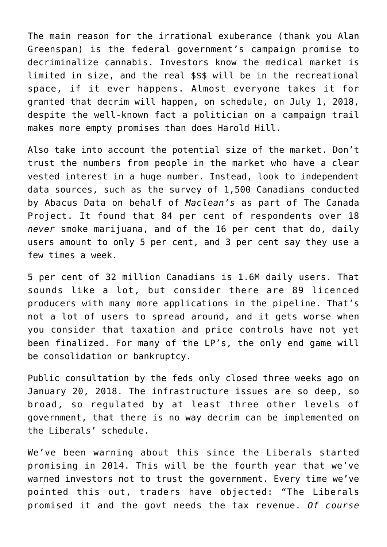The main reason for the irrational exuberance (thank you Alan Greenspan) is the federal government's campaign promise to decriminalize cannabis. Investors know the medical market is limited in size, and the real \$\$\$ will be in the recreational space, if it ever happens. Almost everyone takes it for granted that decrim will happen, on schedule, on July 1, 2018, despite the well-known fact a politician on a campaign trail makes more empty promises than does Harold Hill.

Also take into account the potential size of the market. Don't trust the numbers from people in the market who have a clear vested interest in a huge number. Instead, look to independent data sources, such as the [survey of 1,500 Canadians](http://www.macleans.ca/news/canada/how-big-is-canadas-marijuana-market-really/) conducted by Abacus Data on behalf of *Maclean's* as part of [The Canada](http://www.macleans.ca/tag/the-canada-project/#) [Project.](http://www.macleans.ca/tag/the-canada-project/#) It found that 84 per cent of respondents over 18 *never* smoke marijuana, and of the 16 per cent that do, daily users amount to only 5 per cent, and 3 per cent say they use a few times a week.

5 per cent of 32 million Canadians is 1.6M daily users. That sounds like a lot, but consider there are 89 licenced producers with many more applications in the pipeline. That's not a lot of users to spread around, and it gets worse when you consider that taxation and price controls have not yet been finalized. For many of the LP's, the only end game will be consolidation or bankruptcy.

Public consultation by the feds only closed three weeks ago on January 20, 2018. The infrastructure issues are so deep, so broad, so regulated by at least three other levels of government, that there is no way decrim can be implemented on the Liberals' schedule.

We've been warning about this since the Liberals started promising in 2014. This will be the fourth year that we've warned investors not to trust the government. Every time we've pointed this out, traders have objected: "The Liberals promised it and the govt needs the tax revenue. *Of course*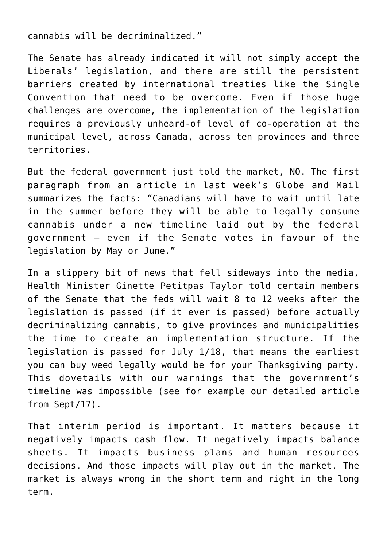cannabis will be decriminalized."

The Senate has already indicated it will not simply accept the Liberals' legislation, and there are still the persistent barriers created by international treaties like the [Single](https://www.unodc.org/unodc/en/treaties/single-convention.html) [Convention](https://www.unodc.org/unodc/en/treaties/single-convention.html) that need to be overcome. Even if those huge challenges are overcome, the implementation of the legislation requires a previously unheard-of level of co-operation at the municipal level, across Canada, across ten provinces and three territories.

But the federal government just told the market, NO. The first paragraph from an article in last week's [Globe and Mail](https://www.theglobeandmail.com/news/politics/regulatory-lag-to-push-legal-marijuana-to-late-summer/article37871180/?utm_source=Faecbook&utm_medium=Paid%20Social&utm_campaign=PM2018) summarizes the facts: "Canadians will have to wait until late in the summer before they will be able to legally consume cannabis under a new timeline laid out by the federal government – even if the Senate votes in favour of the legislation by May or June."

In a slippery bit of news that fell sideways into the media, Health Minister Ginette Petitpas Taylor told certain members of the Senate that the feds will wait 8 to 12 weeks after the legislation is passed (if it ever is passed) before actually decriminalizing cannabis, to give provinces and municipalities the time to create an implementation structure. If the legislation is passed for July 1/18, that means the earliest you can buy weed legally would be for your Thanksgiving party. This dovetails with our warnings that the government's timeline was impossible (see for example our detailed [article](https://investorintel.com/sectors/agribusiness-mmj/agbusiness-mmj-intel/marijuana-decrim-will-not-take-place-feds-timeline/) [from Sept/17\).](https://investorintel.com/sectors/agribusiness-mmj/agbusiness-mmj-intel/marijuana-decrim-will-not-take-place-feds-timeline/)

That interim period is important. It matters because it negatively impacts cash flow. It negatively impacts balance sheets. It impacts business plans and human resources decisions. And those impacts will play out in the market. The market is always wrong in the short term and right in the long term.